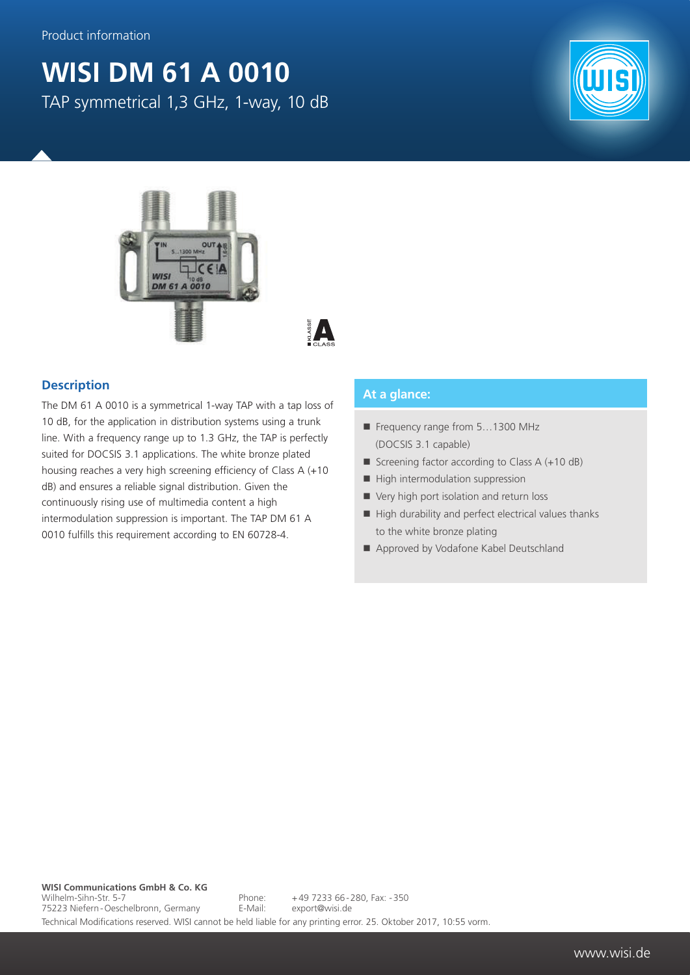## **WISI DM 61 A 0010** TAP symmetrical 1,3 GHz, 1-way, 10 dB







## **Description**

The DM 61 A 0010 is a symmetrical 1-way TAP with a tap loss of 10 dB, for the application in distribution systems using a trunk line. With a frequency range up to 1.3 GHz, the TAP is perfectly suited for DOCSIS 3.1 applications. The white bronze plated housing reaches a very high screening efficiency of Class A (+10 dB) and ensures a reliable signal distribution. Given the continuously rising use of multimedia content a high intermodulation suppression is important. The TAP DM 61 A 0010 fulfills this requirement according to EN 60728-4.

## **At a glance:**

- Frequency range from 5...1300 MHz (DOCSIS 3.1 capable)
- Screening factor according to Class  $A (+10 dB)$
- $\blacksquare$  High intermodulation suppression
- Very high port isolation and return loss
- $\blacksquare$  High durability and perfect electrical values thanks to the white bronze plating
- Approved by Vodafone Kabel Deutschland